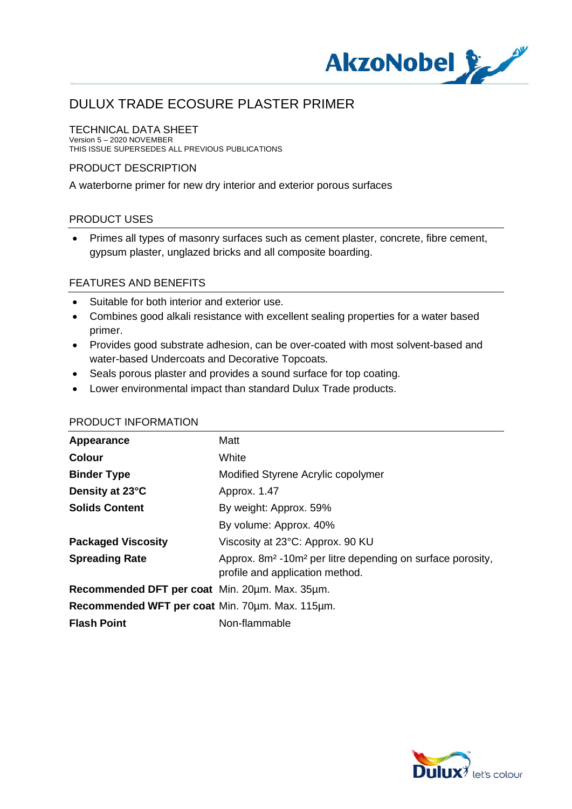

### TECHNICAL DATA SHEET

Version 5 – 2020 NOVEMBER THIS ISSUE SUPERSEDES ALL PREVIOUS PUBLICATIONS

### PRODUCT DESCRIPTION

A waterborne primer for new dry interior and exterior porous surfaces

### PRODUCT USES

· Primes all types of masonry surfaces such as cement plaster, concrete, fibre cement, gypsum plaster, unglazed bricks and all composite boarding.

### FEATURES AND BENEFITS

- · Suitable for both interior and exterior use.
- · Combines good alkali resistance with excellent sealing properties for a water based primer.
- · Provides good substrate adhesion, can be over-coated with most solvent-based and water-based Undercoats and Decorative Topcoats.
- · Seals porous plaster and provides a sound surface for top coating.
- · Lower environmental impact than standard Dulux Trade products.

#### PRODUCT INFORMATION

| Appearance                                      | Matt                                                                                                                  |
|-------------------------------------------------|-----------------------------------------------------------------------------------------------------------------------|
| <b>Colour</b>                                   | White                                                                                                                 |
| <b>Binder Type</b>                              | Modified Styrene Acrylic copolymer                                                                                    |
| Density at 23°C                                 | Approx. 1.47                                                                                                          |
| <b>Solids Content</b>                           | By weight: Approx. 59%                                                                                                |
|                                                 | By volume: Approx. 40%                                                                                                |
| <b>Packaged Viscosity</b>                       | Viscosity at 23°C: Approx. 90 KU                                                                                      |
| <b>Spreading Rate</b>                           | Approx. 8m <sup>2</sup> -10m <sup>2</sup> per litre depending on surface porosity,<br>profile and application method. |
| Recommended DFT per coat Min. 20um. Max. 35um.  |                                                                                                                       |
| Recommended WFT per coat Min. 70um. Max. 115um. |                                                                                                                       |
| <b>Flash Point</b>                              | Non-flammable                                                                                                         |

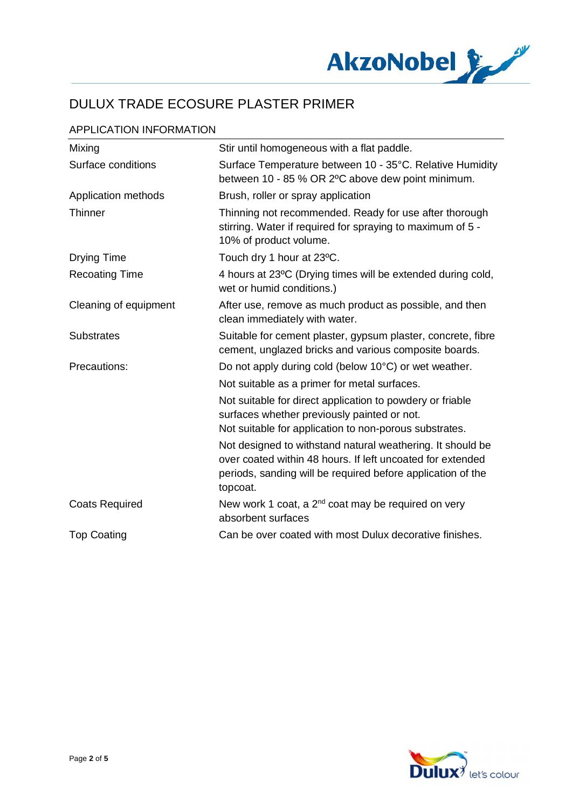

# APPLICATION INFORMATION

| Mixing                | Stir until homogeneous with a flat paddle.                                                                                                                                                          |
|-----------------------|-----------------------------------------------------------------------------------------------------------------------------------------------------------------------------------------------------|
| Surface conditions    | Surface Temperature between 10 - 35°C. Relative Humidity<br>between 10 - 85 % OR 2°C above dew point minimum.                                                                                       |
| Application methods   | Brush, roller or spray application                                                                                                                                                                  |
| <b>Thinner</b>        | Thinning not recommended. Ready for use after thorough<br>stirring. Water if required for spraying to maximum of 5 -<br>10% of product volume.                                                      |
| <b>Drying Time</b>    | Touch dry 1 hour at 23°C.                                                                                                                                                                           |
| <b>Recoating Time</b> | 4 hours at 23°C (Drying times will be extended during cold,<br>wet or humid conditions.)                                                                                                            |
| Cleaning of equipment | After use, remove as much product as possible, and then<br>clean immediately with water.                                                                                                            |
| <b>Substrates</b>     | Suitable for cement plaster, gypsum plaster, concrete, fibre<br>cement, unglazed bricks and various composite boards.                                                                               |
| Precautions:          | Do not apply during cold (below 10°C) or wet weather.                                                                                                                                               |
|                       | Not suitable as a primer for metal surfaces.                                                                                                                                                        |
|                       | Not suitable for direct application to powdery or friable<br>surfaces whether previously painted or not.                                                                                            |
|                       | Not suitable for application to non-porous substrates.                                                                                                                                              |
|                       | Not designed to withstand natural weathering. It should be<br>over coated within 48 hours. If left uncoated for extended<br>periods, sanding will be required before application of the<br>topcoat. |
| <b>Coats Required</b> | New work 1 coat, a 2 <sup>nd</sup> coat may be required on very<br>absorbent surfaces                                                                                                               |
| <b>Top Coating</b>    | Can be over coated with most Dulux decorative finishes.                                                                                                                                             |

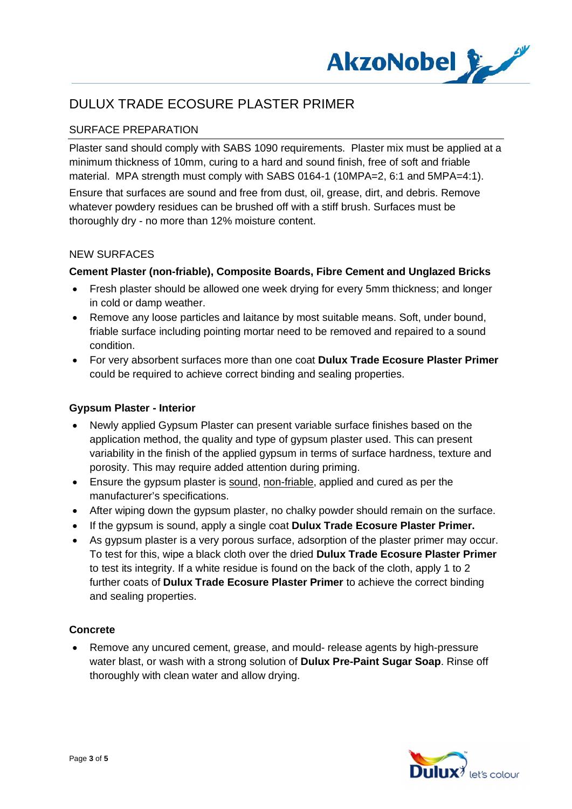

# SURFACE PREPARATION

Plaster sand should comply with SABS 1090 requirements. Plaster mix must be applied at a minimum thickness of 10mm, curing to a hard and sound finish, free of soft and friable material. MPA strength must comply with SABS 0164-1 (10MPA=2, 6:1 and 5MPA=4:1).

Ensure that surfaces are sound and free from dust, oil, grease, dirt, and debris. Remove whatever powdery residues can be brushed off with a stiff brush. Surfaces must be thoroughly dry - no more than 12% moisture content.

## NEW SURFACES

## **Cement Plaster (non-friable), Composite Boards, Fibre Cement and Unglazed Bricks**

- · Fresh plaster should be allowed one week drying for every 5mm thickness; and longer in cold or damp weather.
- · Remove any loose particles and laitance by most suitable means. Soft, under bound, friable surface including pointing mortar need to be removed and repaired to a sound condition.
- · For very absorbent surfaces more than one coat **Dulux Trade Ecosure Plaster Primer** could be required to achieve correct binding and sealing properties.

### **Gypsum Plaster - Interior**

- · Newly applied Gypsum Plaster can present variable surface finishes based on the application method, the quality and type of gypsum plaster used. This can present variability in the finish of the applied gypsum in terms of surface hardness, texture and porosity. This may require added attention during priming.
- · Ensure the gypsum plaster is sound, non-friable, applied and cured as per the manufacturer's specifications.
- · After wiping down the gypsum plaster, no chalky powder should remain on the surface.
- · If the gypsum is sound, apply a single coat **Dulux Trade Ecosure Plaster Primer.**
- As gypsum plaster is a very porous surface, adsorption of the plaster primer may occur. To test for this, wipe a black cloth over the dried **Dulux Trade Ecosure Plaster Primer** to test its integrity. If a white residue is found on the back of the cloth, apply 1 to 2 further coats of **Dulux Trade Ecosure Plaster Primer** to achieve the correct binding and sealing properties.

### **Concrete**

· Remove any uncured cement, grease, and mould- release agents by high-pressure water blast, or wash with a strong solution of **Dulux Pre-Paint Sugar Soap**. Rinse off thoroughly with clean water and allow drying.

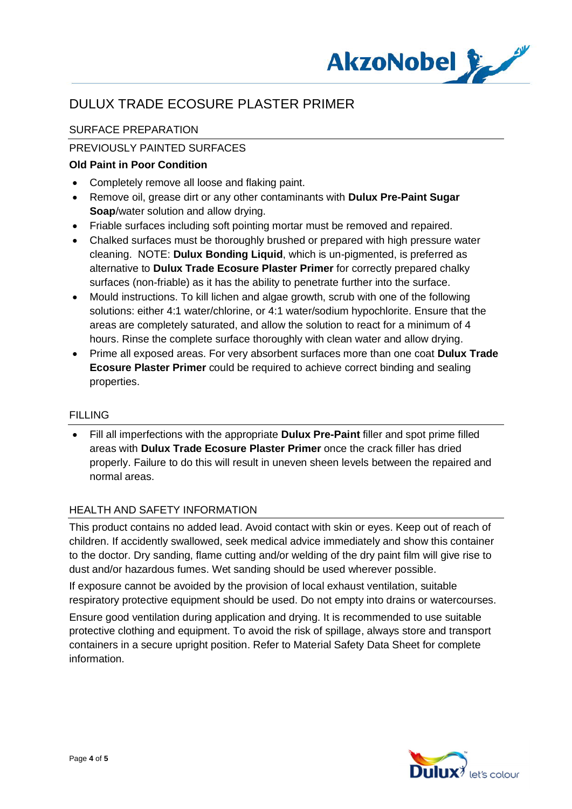

# SURFACE PREPARATION

# PREVIOUSLY PAINTED SURFACES

## **Old Paint in Poor Condition**

- · Completely remove all loose and flaking paint.
- · Remove oil, grease dirt or any other contaminants with **Dulux Pre-Paint Sugar Soap**/water solution and allow drying.
- · Friable surfaces including soft pointing mortar must be removed and repaired.
- · Chalked surfaces must be thoroughly brushed or prepared with high pressure water cleaning. NOTE: **Dulux Bonding Liquid**, which is un-pigmented, is preferred as alternative to **Dulux Trade Ecosure Plaster Primer** for correctly prepared chalky surfaces (non-friable) as it has the ability to penetrate further into the surface.
- · Mould instructions. To kill lichen and algae growth, scrub with one of the following solutions: either 4:1 water/chlorine, or 4:1 water/sodium hypochlorite. Ensure that the areas are completely saturated, and allow the solution to react for a minimum of 4 hours. Rinse the complete surface thoroughly with clean water and allow drying.
- · Prime all exposed areas. For very absorbent surfaces more than one coat **Dulux Trade Ecosure Plaster Primer** could be required to achieve correct binding and sealing properties.

### FILLING

· Fill all imperfections with the appropriate **Dulux Pre-Paint** filler and spot prime filled areas with **Dulux Trade Ecosure Plaster Primer** once the crack filler has dried properly. Failure to do this will result in uneven sheen levels between the repaired and normal areas.

### HEALTH AND SAFETY INFORMATION

This product contains no added lead. Avoid contact with skin or eyes. Keep out of reach of children. If accidently swallowed, seek medical advice immediately and show this container to the doctor. Dry sanding, flame cutting and/or welding of the dry paint film will give rise to dust and/or hazardous fumes. Wet sanding should be used wherever possible.

If exposure cannot be avoided by the provision of local exhaust ventilation, suitable respiratory protective equipment should be used. Do not empty into drains or watercourses.

Ensure good ventilation during application and drying. It is recommended to use suitable protective clothing and equipment. To avoid the risk of spillage, always store and transport containers in a secure upright position. Refer to Material Safety Data Sheet for complete information.